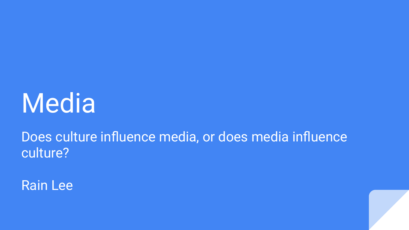### Media

Does culture influence media, or does media influence culture?

Rain Lee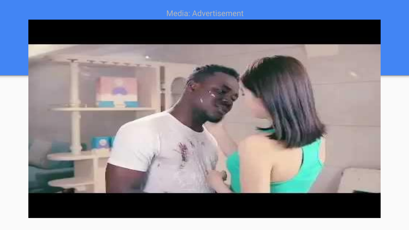#### Media: Advertisement

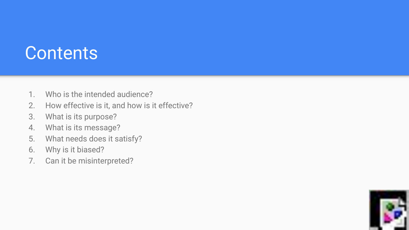#### **Contents**

- 1. Who is the intended audience?
- 2. How effective is it, and how is it effective?
- 3. What is its purpose?
- 4. What is its message?
- 5. What needs does it satisfy?
- 6. Why is it biased?
- 7. Can it be misinterpreted?

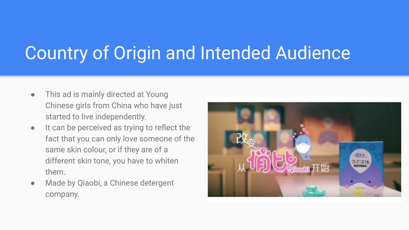### Country of Origin and Intended Audience

- This ad is mainly directed at Young Chinese girls from China who have just started to live independently.
- It can be perceived as trying to reflect the fact that you can only love someone of the same skin colour, or if they are of a different skin tone, you have to whiten them.
- Made by Qiaobi, a Chinese detergent company.

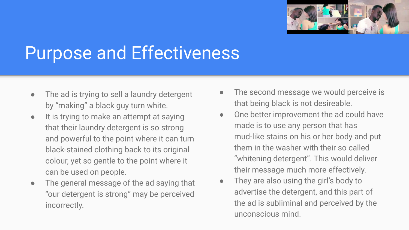

### Purpose and Effectiveness

- The ad is trying to sell a laundry detergent by "making" a black guy turn white.
- It is trying to make an attempt at saying that their laundry detergent is so strong and powerful to the point where it can turn black-stained clothing back to its original colour, yet so gentle to the point where it can be used on people.
- The general message of the ad saying that "our detergent is strong" may be perceived incorrectly.
- The second message we would perceive is that being black is not desireable.
- One better improvement the ad could have made is to use any person that has mud-like stains on his or her body and put them in the washer with their so called "whitening detergent". This would deliver their message much more effectively.
- They are also using the girl's body to advertise the detergent, and this part of the ad is subliminal and perceived by the unconscious mind.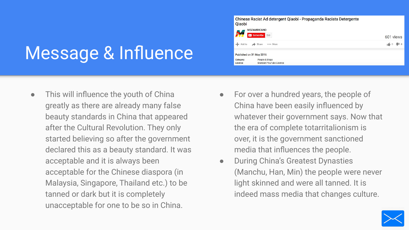### Message & Influence

**•** This will influence the youth of China greatly as there are already many false beauty standards in China that appeared after the Cultural Revolution. They only started believing so after the government declared this as a beauty standard. It was acceptable and it is always been acceptable for the Chinese diaspora (in Malaysia, Singapore, Thailand etc.) to be tanned or dark but it is completely unacceptable for one to be so in China.

Chinese Racist Ad detergent Qiaobi - Propaganda Racista Detergente Oiaobi

| 55                  | <b>MOZAMBICANO</b><br>Subscribe 258        | 601 views             |
|---------------------|--------------------------------------------|-----------------------|
| Add to              | Share<br>More<br>A                         | $\frac{1}{2}$<br>學! 0 |
|                     | Published on 31 May 2016                   |                       |
| Category<br>Licence | People & Blogs<br>Standard YouTube Licence |                       |

- For over a hundred years, the people of China have been easily influenced by whatever their government says. Now that the era of complete totarritalionism is over, it is the government sanctioned media that influences the people.
- During China's Greatest Dynasties (Manchu, Han, Min) the people were never light skinned and were all tanned. It is indeed mass media that changes culture.

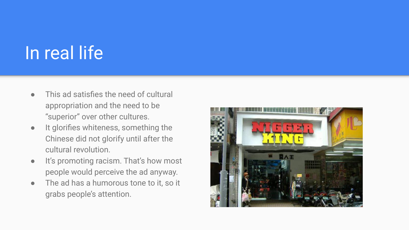### In real life

- This ad satisfies the need of cultural appropriation and the need to be "superior" over other cultures.
- It glorifies whiteness, something the Chinese did not glorify until after the cultural revolution.
- It's promoting racism. That's how most people would perceive the ad anyway.
- The ad has a humorous tone to it, so it grabs people's attention.

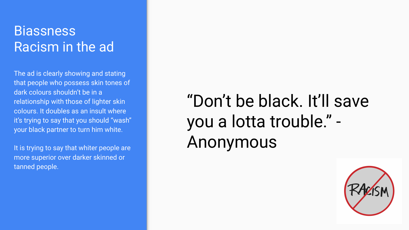#### **Biassness** Racism in the ad

The ad is clearly showing and stating that people who possess skin tones of dark colours shouldn't be in a relationship with those of lighter skin colours. It doubles as an insult where it's trying to say that you should "wash" your black partner to turn him white.

It is trying to say that whiter people are more superior over darker skinned or tanned people.

### "Don't be black. It'll save you a lotta trouble." - Anonymous

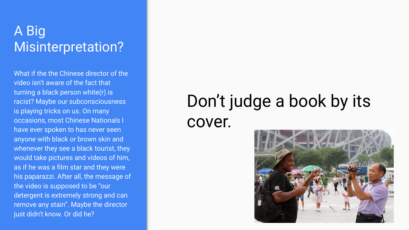#### A Big Misinterpretation?

What if the the Chinese director of the video isn't aware of the fact that turning a black person white(r) is racist? Maybe our subconsciousness is playing tricks on us. On many occasions, most Chinese Nationals I have ever spoken to has never seen anyone with black or brown skin and whenever they see a black tourist, they would take pictures and videos of him, as if he was a film star and they were his paparazzi. After all, the message of the video is supposed to be "our detergent is extremely strong and can remove any stain". Maybe the director just didn't know. Or did he?

### Don't judge a book by its cover.

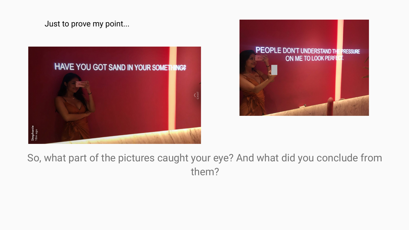Just to prove my point...





So, what part of the pictures caught your eye? And what did you conclude from them?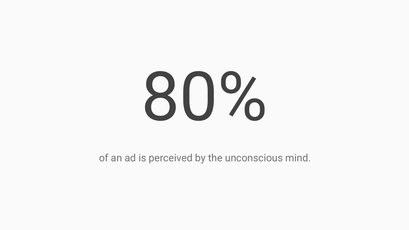### 80%

of an ad is perceived by the unconscious mind.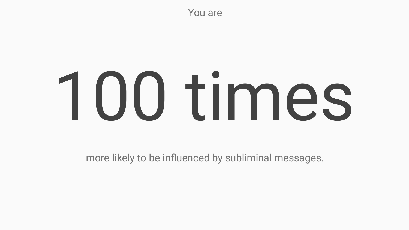You are

## 100 times

more likely to be influenced by subliminal messages.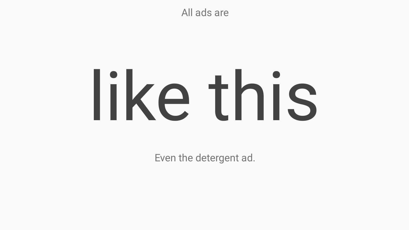All ads are

# like this

Even the detergent ad.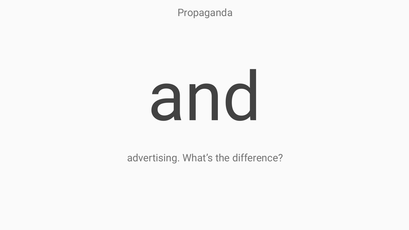Propaganda

### and

advertising. What's the difference?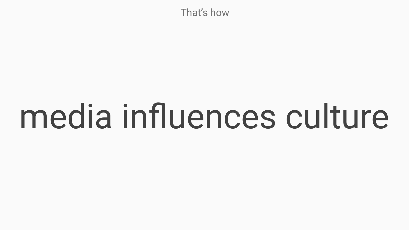That's how

### media influences culture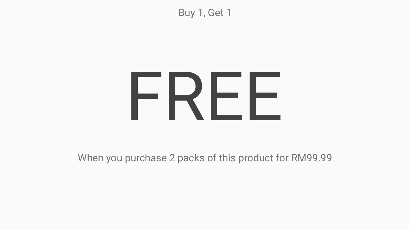Buy 1, Get 1

### FREE

When you purchase 2 packs of this product for RM99.99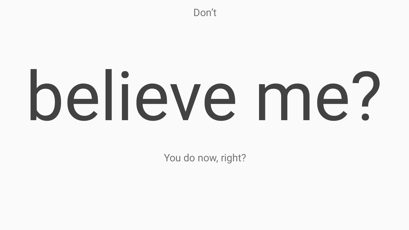Don't

# believe me?

You do now, right?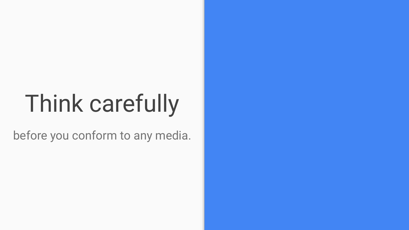### Think carefully

before you conform to any media.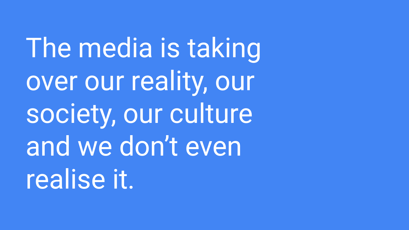The media is taking over our reality, our society, our culture and we don't even realise it.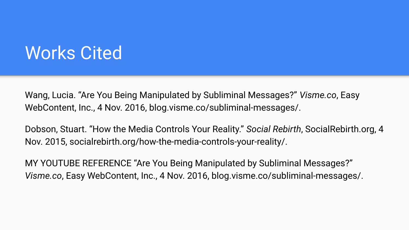#### Works Cited

Wang, Lucia. "Are You Being Manipulated by Subliminal Messages?" *Visme.co*, Easy WebContent, Inc., 4 Nov. 2016, blog.visme.co/subliminal-messages/.

Dobson, Stuart. "How the Media Controls Your Reality." *Social Rebirth*, SocialRebirth.org, 4 Nov. 2015, socialrebirth.org/how-the-media-controls-your-reality/.

MY YOUTUBE REFERENCE "Are You Being Manipulated by Subliminal Messages?" *Visme.co*, Easy WebContent, Inc., 4 Nov. 2016, blog.visme.co/subliminal-messages/.